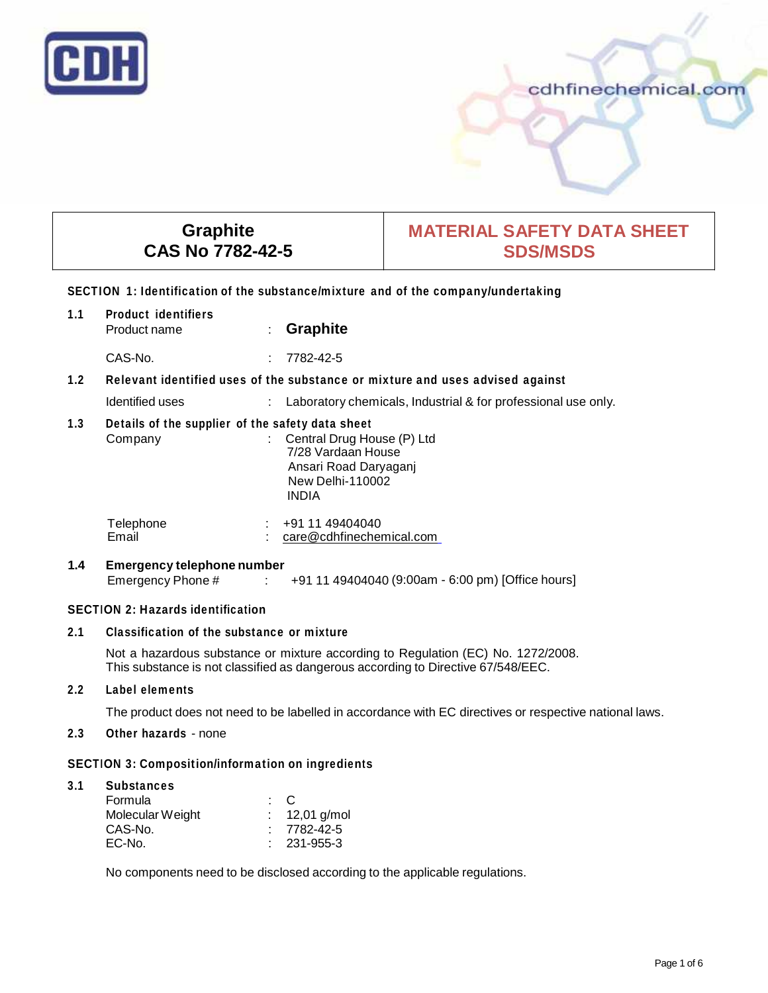

# cdhfinechemical.com

# **Graphite CAS No 7782-42-5**

# **MATERIAL SAFETY DATA SHEET SDS/MSDS**

#### **SECTION 1: Identification of the substance/mixture and of the company/undertaking**

| 1.1            | <b>Product identifiers</b><br>Product name                                                                     | ÷. | <b>Graphite</b>                                                                                               |
|----------------|----------------------------------------------------------------------------------------------------------------|----|---------------------------------------------------------------------------------------------------------------|
|                | CAS-No.                                                                                                        | ÷. | 7782-42-5                                                                                                     |
| 1.2            | Relevant identified uses of the substance or mixture and uses advised against                                  |    |                                                                                                               |
|                | Identified uses                                                                                                |    | Laboratory chemicals, Industrial & for professional use only.                                                 |
| 1.3            | Details of the supplier of the safety data sheet<br>Company                                                    |    | Central Drug House (P) Ltd<br>7/28 Vardaan House<br>Ansari Road Daryaganj<br><b>New Delhi-110002</b><br>INDIA |
|                | Telephone<br>Email                                                                                             |    | +91 11 49404040<br>care@cdhfinechemical.com                                                                   |
| $\overline{A}$ | For a communicate la cola a communicación de la cola de la cola de la cola de la cola de la cola de la cola de |    |                                                                                                               |

#### **1.4 Emergency telephone number**  $\therefore$  +91 11 49404040 (9:00am - 6:00 pm) [Office hours]

## **SECTION 2: Hazards identification**

## **2.1 Classification of the substance or mixture**

Not a hazardous substance or mixture according to Regulation (EC) No. 1272/2008. This substance is not classified as dangerous according to Directive 67/548/EEC.

## **2.2 Label elements**

The product does not need to be labelled in accordance with EC directives or respective national laws.

## **2.3 Other hazards** - none

## **SECTION 3: Composition/information on ingredients**

| 3.1 | <b>Substances</b> |                |                   |
|-----|-------------------|----------------|-------------------|
|     | Formula           | $\therefore$ C |                   |
|     | Molecular Weight  |                | : $12,01$ g/mol   |
|     | CAS-No.           |                | $: 7782 - 42 - 5$ |
|     | EC-No.            |                | $: 231 - 955 - 3$ |

No components need to be disclosed according to the applicable regulations.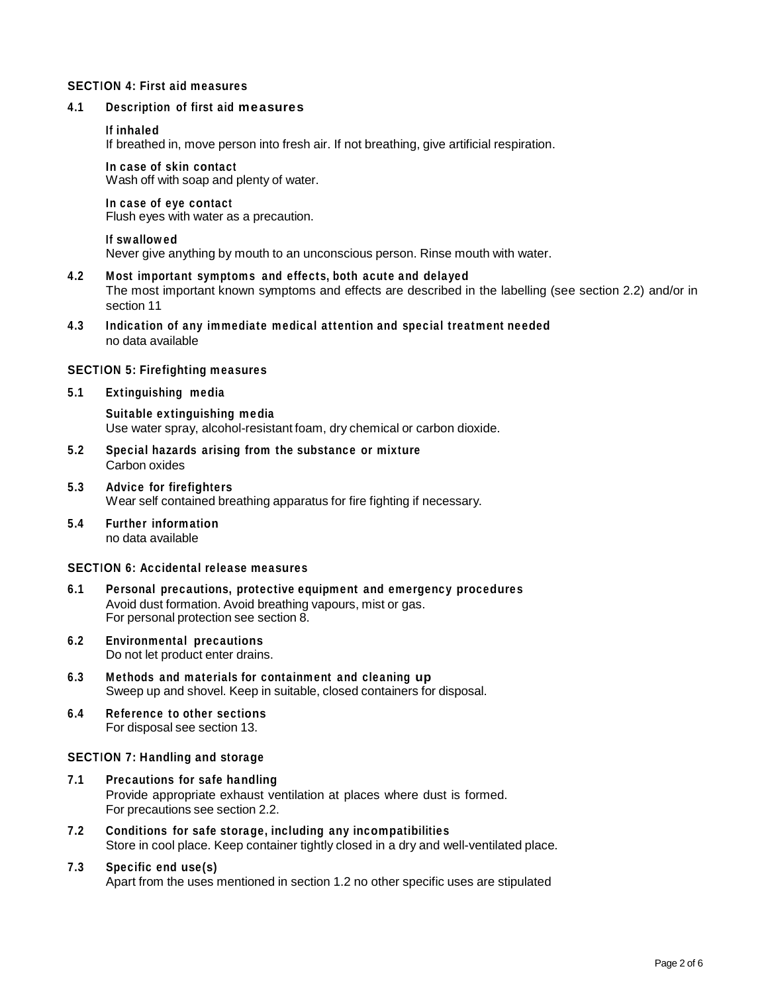#### **SECTION 4: First aid measures**

#### **4.1 Description of first aid measures**

#### **If inhaled**

If breathed in, move person into fresh air. If not breathing, give artificial respiration.

#### **In case of skin contact**

Wash off with soap and plenty of water.

#### **In case of eye contact**

Flush eyes with water as a precaution.

#### **If swallowed**

Never give anything by mouth to an unconscious person. Rinse mouth with water.

# **4.2 Most important symptoms and effects, both acute and delayed**

The most important known symptoms and effects are described in the labelling (see section 2.2) and/or in section 11

**4.3 Indication of any immediate medical attention and special treatment needed** no data available

#### **SECTION 5: Firefighting measures**

#### **5.1 Extinguishing media**

**Suitable extinguishing media** Use water spray, alcohol-resistant foam, dry chemical or carbon dioxide.

- **5.2 Special hazards arising from the substance or mixture** Carbon oxides
- **5.3 Advice forfirefighters** Wear self contained breathing apparatus for fire fighting if necessary.
- **5.4 Further information** no data available

## **SECTION 6: Accidental release measures**

- **6.1 Personal precautions, protective equipment and emergency procedures** Avoid dust formation. Avoid breathing vapours, mist or gas. For personal protection see section 8.
- **6.2 Environmental precautions** Do not let product enter drains.
- **6.3 Methods and materials for containment and cleaning up** Sweep up and shovel. Keep in suitable, closed containers for disposal.
- **6.4 Reference to other sections** For disposal see section 13.

#### **SECTION 7: Handling and storage**

- **7.1 Precautions for safe handling** Provide appropriate exhaust ventilation at places where dust is formed. For precautions see section 2.2.
- **7.2 Conditions for safe storage, including any incompatibilities** Store in cool place. Keep container tightly closed in a dry and well-ventilated place.

## **7.3 Specific end use(s)** Apart from the uses mentioned in section 1.2 no other specific uses are stipulated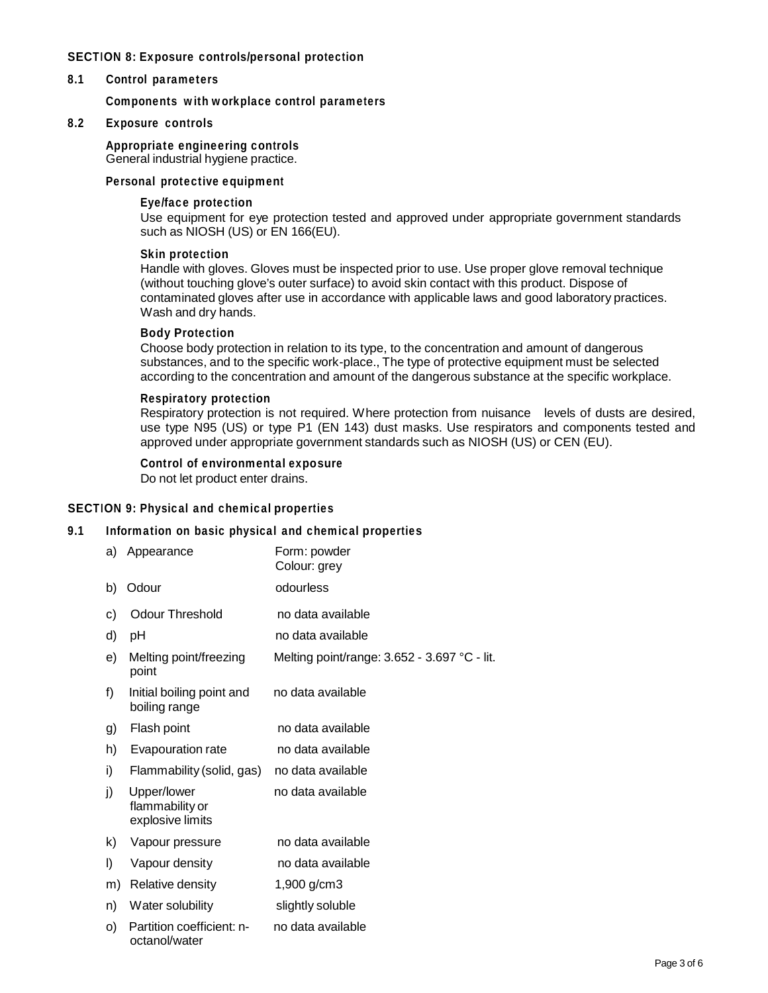## **SECTION 8: Exposure controls/personal protection**

#### **8.1 Control parameters**

**Components with workplace control parameters**

## **8.2 Exposure controls**

#### **Appropriate engineering controls** General industrial hygiene practice.

#### **Personal protective equipment**

#### **Eye/face protection**

Use equipment for eye protection tested and approved under appropriate government standards such as NIOSH (US) or EN 166(EU).

#### **Skin protection**

Handle with gloves. Gloves must be inspected prior to use. Use proper glove removal technique (without touching glove's outer surface) to avoid skin contact with this product. Dispose of contaminated gloves after use in accordance with applicable laws and good laboratory practices. Wash and dry hands.

## **Body Protection**

Choose body protection in relation to its type, to the concentration and amount of dangerous substances, and to the specific work-place., The type of protective equipment must be selected according to the concentration and amount of the dangerous substance at the specific workplace.

#### **Respiratory protection**

Respiratory protection is not required. Where protection from nuisance levels of dusts are desired, use type N95 (US) or type P1 (EN 143) dust masks. Use respirators and components tested and approved under appropriate government standards such as NIOSH (US) or CEN (EU).

#### **Control of environmental exposure**

Do not let product enter drains.

## **SECTION 9: Physical and chemical properties**

## **9.1 Information on basic physical and chemical properties**

| a) | Appearance                                         | Form: powder<br>Colour: grey                 |
|----|----------------------------------------------------|----------------------------------------------|
| b) | Odour                                              | odourless                                    |
| C) | <b>Odour Threshold</b>                             | no data available                            |
| d) | рH                                                 | no data available                            |
| e) | Melting point/freezing<br>point                    | Melting point/range: 3.652 - 3.697 °C - lit. |
| f) | Initial boiling point and<br>boiling range         | no data available                            |
| g) | Flash point                                        | no data available                            |
| h) | Evapouration rate                                  | no data available                            |
| i) | Flammability (solid, gas)                          | no data available                            |
| j) | Upper/lower<br>flammability or<br>explosive limits | no data available                            |
| k) | Vapour pressure                                    | no data available                            |
| I) | Vapour density                                     | no data available                            |
| m) | Relative density                                   | 1,900 g/cm3                                  |
| n) | Water solubility                                   | slightly soluble                             |
| O) | Partition coefficient: n-<br>octanol/water         | no data available                            |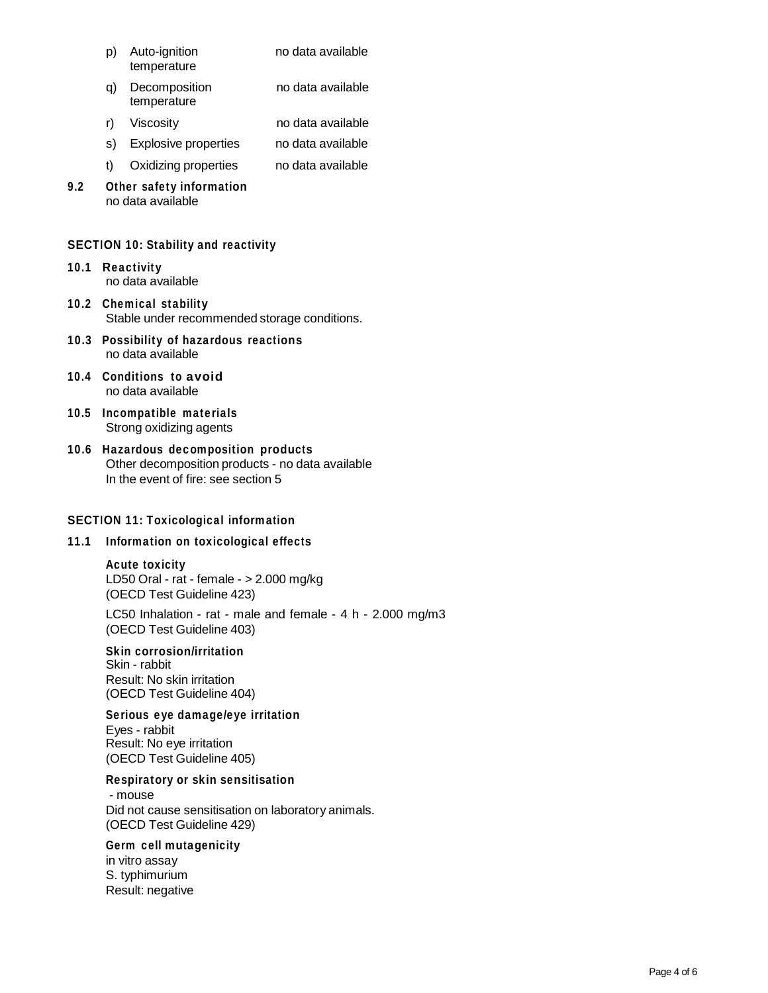- p) Auto-ignition temperature no data available
- q) Decomposition temperature no data available
- r) Viscosity no data available
- s) Explosive properties no data available
- t) Oxidizing properties no data available
- **9.2 Other safety information** no data available

## **SECTION 10: Stability and reactivity**

- **10.1 Reactivity** no data available
- **10.2 Chemical stability** Stable under recommended storage conditions.
- **10.3 Possibility of hazardous reactions** no data available
- **10.4 Conditions to avoid** no data available
- **10.5 Incompatible materials** Strong oxidizing agents
- **10.6 Hazardous decomposition products** Other decomposition products - no data available In the event of fire: see section 5

## **SECTION 11: Toxicological information**

## **11.1 Information on toxicological effects**

## **Acute toxicity**

LD50 Oral - rat - female - > 2.000 mg/kg (OECD Test Guideline 423)

LC50 Inhalation - rat - male and female -  $4 h - 2.000 mg/m3$ (OECD Test Guideline 403)

# **Skin corrosion/irritation**

Skin - rabbit Result: No skin irritation (OECD Test Guideline 404)

## **Serious eye damage/eye irritation**

Eyes - rabbit Result: No eye irritation (OECD Test Guideline 405)

## **Respiratory orskin sensitisation**

- mouse Did not cause sensitisation on laboratory animals. (OECD Test Guideline 429)

## **Germ cell mutagenicity**

in vitro assay S. typhimurium Result: negative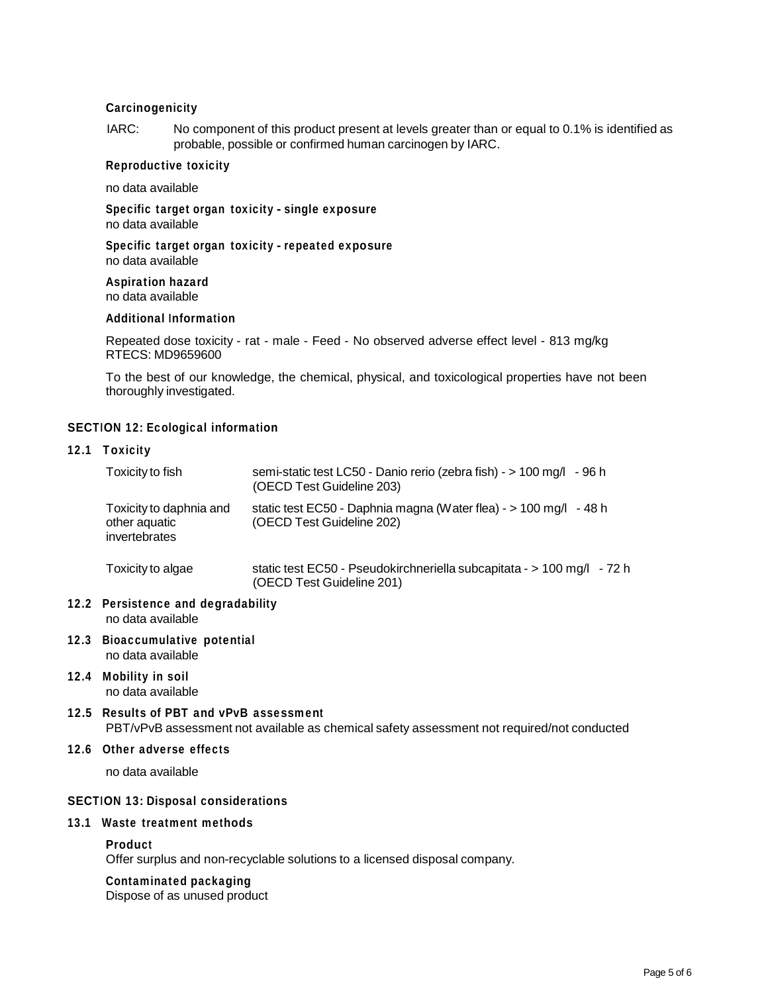## **Carcinogenicity**

IARC: No component of this product present at levels greater than or equal to 0.1% is identified as probable, possible or confirmed human carcinogen by IARC.

## **Reproductive toxicity**

no data available

**Specific target organ toxicity - single exposure** no data available

**Specific target organ toxicity - repeated exposure** no data available

**Aspiration hazard** no data available

#### **Additional Information**

Repeated dose toxicity - rat - male - Feed - No observed adverse effect level - 813 mg/kg RTECS: MD9659600

To the best of our knowledge, the chemical, physical, and toxicological properties have not been thoroughly investigated.

## **SECTION 12: Ecological information**

#### **12.1 Toxicity**

|                                            | Toxicity to fish                                                                                                                      | semi-static test LC50 - Danio rerio (zebra fish) - > 100 mg/l - 96 h<br>(OECD Test Guideline 203)   |  |  |  |
|--------------------------------------------|---------------------------------------------------------------------------------------------------------------------------------------|-----------------------------------------------------------------------------------------------------|--|--|--|
|                                            | Toxicity to daphnia and<br>other aquatic<br>invertebrates                                                                             | static test EC50 - Daphnia magna (Water flea) - > 100 mg/l - 48 h<br>(OECD Test Guideline 202)      |  |  |  |
|                                            | Toxicity to algae                                                                                                                     | static test EC50 - Pseudokirchneriella subcapitata - > 100 mg/l - 72 h<br>(OECD Test Guideline 201) |  |  |  |
|                                            | 12.2 Persistence and degradability<br>no data available                                                                               |                                                                                                     |  |  |  |
|                                            | 12.3 Bioaccumulative potential<br>no data available                                                                                   |                                                                                                     |  |  |  |
|                                            | 12.4 Mobility in soil<br>no data available                                                                                            |                                                                                                     |  |  |  |
|                                            | 12.5 Results of PBT and vPvB assessment<br>PBT/vPvB assessment not available as chemical safety assessment not required/not conducted |                                                                                                     |  |  |  |
|                                            | 12.6 Other adverse effects                                                                                                            |                                                                                                     |  |  |  |
|                                            | no data available                                                                                                                     |                                                                                                     |  |  |  |
| <b>SECTION 13: Disposal considerations</b> |                                                                                                                                       |                                                                                                     |  |  |  |
|                                            | 13.1 Waste treatment methods                                                                                                          |                                                                                                     |  |  |  |

#### **Product**

Offer surplus and non-recyclable solutions to a licensed disposal company.

#### **Contaminated packaging**

Dispose of as unused product